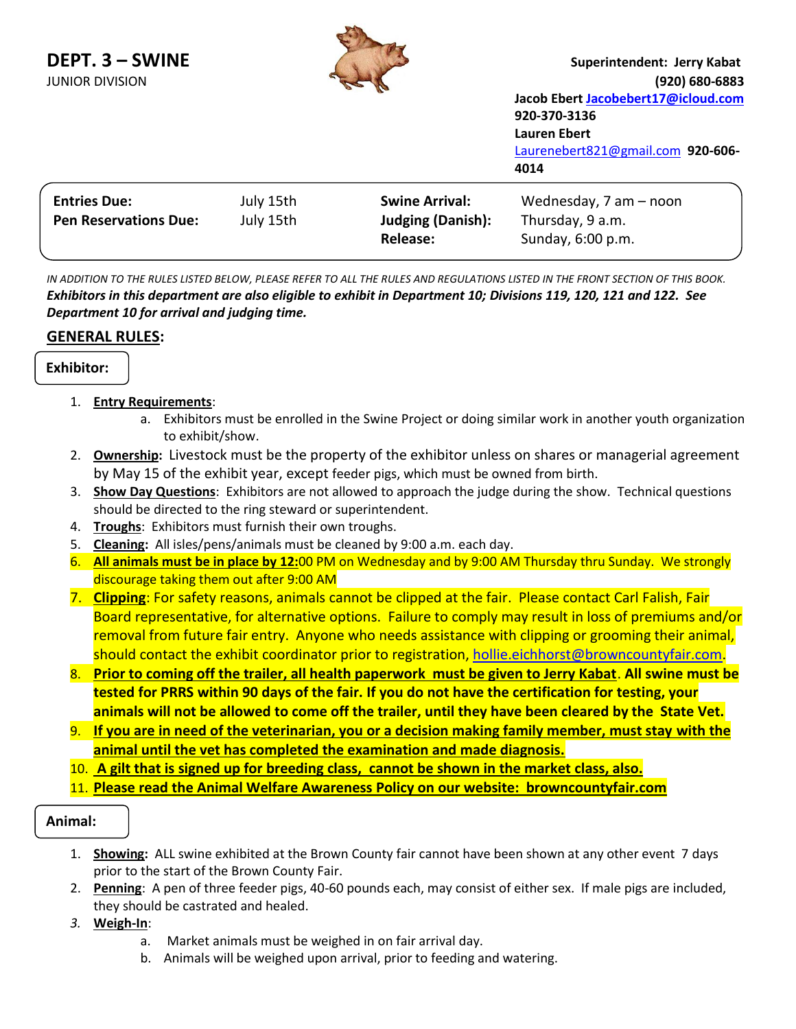| DEPT. 3 - SWINE<br><b>JUNIOR DIVISION</b> |           |                          | Superintendent: Jerry Kabat<br>(920) 680-6883<br>Jacob Ebert Jacobebert17@icloud.com<br>920-370-3136<br>Lauren Ebert<br>Laurenebert821@gmail.com 920-606-<br>4014 |
|-------------------------------------------|-----------|--------------------------|-------------------------------------------------------------------------------------------------------------------------------------------------------------------|
| <b>Entries Due:</b>                       | July 15th | <b>Swine Arrival:</b>    | Wednesday, 7 am - noon                                                                                                                                            |
| <b>Pen Reservations Due:</b>              | July 15th | <b>Judging (Danish):</b> | Thursday, 9 a.m.                                                                                                                                                  |
|                                           |           | <b>Release:</b>          | Sunday, 6:00 p.m.                                                                                                                                                 |

**PAW** 

*IN ADDITION TO THE RULES LISTED BELOW, PLEASE REFER TO ALL THE RULES AND REGULATIONS LISTED IN THE FRONT SECTION OF THIS BOOK. Exhibitors in this department are also eligible to exhibit in Department 10; Divisions 119, 120, 121 and 122. See Department 10 for arrival and judging time.*

## **GENERAL RULES:**

 $\overline{a}$ 

## **Exhibitor:**

## 1. **Entry Requirements**:

- a. Exhibitors must be enrolled in the Swine Project or doing similar work in another youth organization to exhibit/show.
- 2. **Ownership:** Livestock must be the property of the exhibitor unless on shares or managerial agreement by May 15 of the exhibit year, except feeder pigs, which must be owned from birth.
- 3. **Show Day Questions**: Exhibitors are not allowed to approach the judge during the show. Technical questions should be directed to the ring steward or superintendent.
- 4. **Troughs**: Exhibitors must furnish their own troughs.
- 5. **Cleaning:** All isles/pens/animals must be cleaned by 9:00 a.m. each day.
- 6. **All animals must be in place by 12:**00 PM on Wednesday and by 9:00 AM Thursday thru Sunday. We strongly discourage taking them out after 9:00 AM
- 7. **Clipping**: For safety reasons, animals cannot be clipped at the fair. Please contact Carl Falish, Fair Board representative, for alternative options. Failure to comply may result in loss of premiums and/or removal from future fair entry. Anyone who needs assistance with clipping or grooming their animal, should contact the exhibit coordinator prior to registration, [hollie.eichhorst@browncountyfair.com.](mailto:hollie.eichhorst@browncountyfair.com)
- 8. **Prior to coming off the trailer, all health paperwork must be given to Jerry Kabat**. **All swine must be tested for PRRS within 90 days of the fair. If you do not have the certification for testing, your animals will not be allowed to come off the trailer, until they have been cleared by the State Vet.**
- 9. **If you are in need of the veterinarian, you or a decision making family member, must stay with the animal until the vet has completed the examination and made diagnosis.**
- 10. **A gilt that is signed up for breeding class, cannot be shown in the market class, also.**
- 11. **Please read the Animal Welfare Awareness Policy on our website: browncountyfair.com**

## **Animal:**

- 1. **Showing:** ALL swine exhibited at the Brown County fair cannot have been shown at any other event 7 days prior to the start of the Brown County Fair.
- 2. **Penning**: A pen of three feeder pigs, 40-60 pounds each, may consist of either sex. If male pigs are included, they should be castrated and healed.
- *3.* **Weigh-In**:
	- a. Market animals must be weighed in on fair arrival day.
	- b. Animals will be weighed upon arrival, prior to feeding and watering.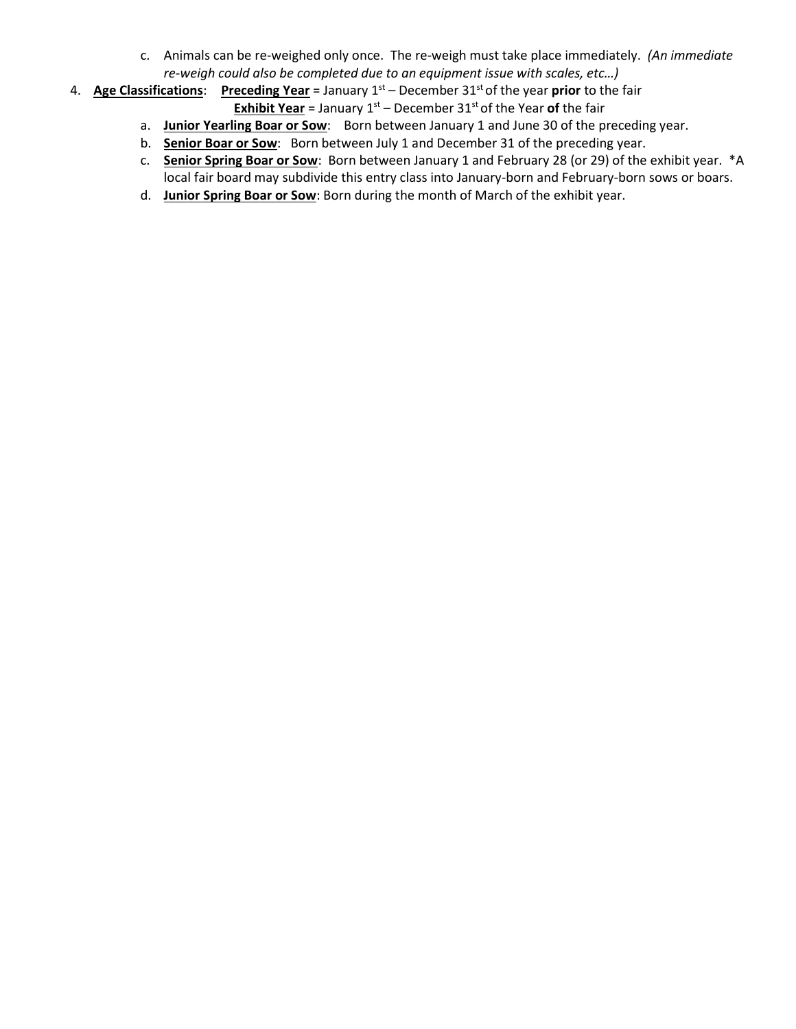- c. Animals can be re-weighed only once. The re-weigh must take place immediately. *(An immediate re-weigh could also be completed due to an equipment issue with scales, etc…)*
- 4. **Age Classifications**: **Preceding Year** = January 1st December 31st of the year **prior** to the fair **Exhibit Year** = January  $1^{st}$  – December  $31^{st}$  of the Year of the fair
	- a. Junior Yearling Boar or Sow: Born between January 1 and June 30 of the preceding year.
	- b. **Senior Boar or Sow**: Born between July 1 and December 31 of the preceding year.
	- c. **Senior Spring Boar or Sow**: Born between January 1 and February 28 (or 29) of the exhibit year. \*A local fair board may subdivide this entry class into January-born and February-born sows or boars.
	- d. **Junior Spring Boar or Sow**: Born during the month of March of the exhibit year.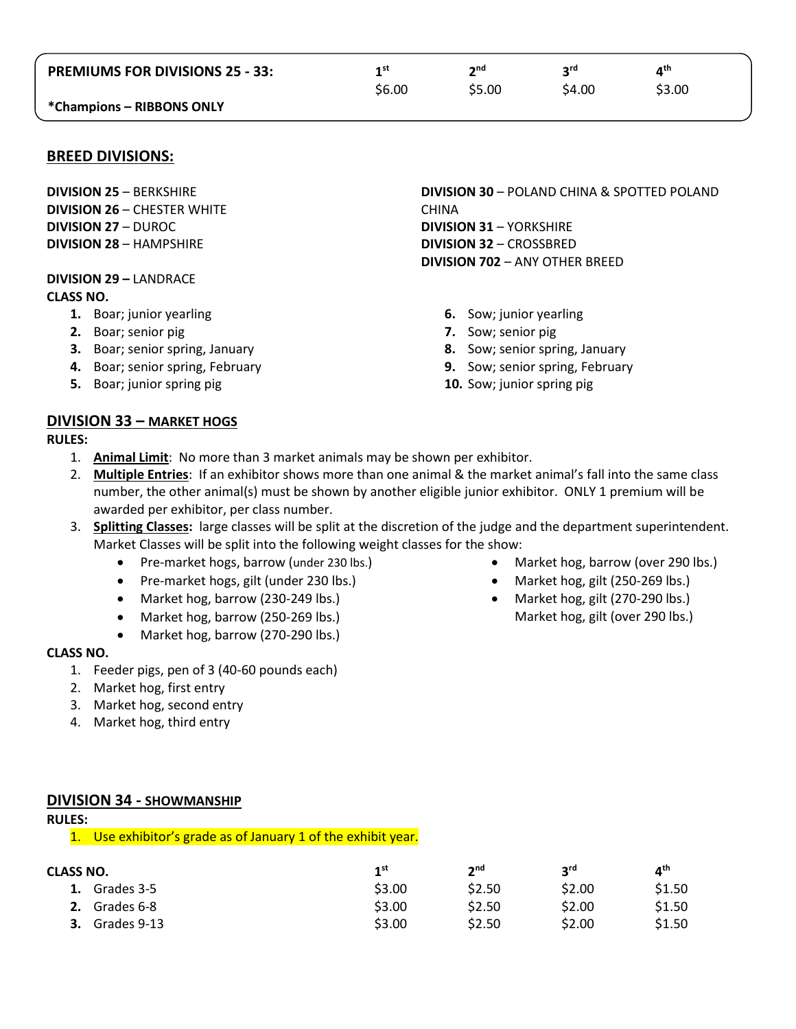| <b>PREMIUMS FOR DIVISIONS 25 - 33:</b> | 4 st   | 2 <sub>nd</sub> | ord    | ⊿th    |  |
|----------------------------------------|--------|-----------------|--------|--------|--|
|                                        | \$6.00 | \$5.00          | \$4.00 | \$3.00 |  |
| *Champions - RIBBONS ONLY              |        |                 |        |        |  |

### **BREED DIVISIONS:**

**DIVISION 25** – BERKSHIRE **DIVISION 26** – CHESTER WHITE **DIVISION 27** – DUROC **DIVISION 28** – HAMPSHIRE

**DIVISION 29 –** LANDRACE **CLASS NO.**

- **1.** Boar; junior yearling
- **2.** Boar; senior pig
- **3.** Boar; senior spring, January
- **4.** Boar; senior spring, February
- **5.** Boar; junior spring pig

**DIVISION 30** – POLAND CHINA & SPOTTED POLAND CHINA **DIVISION 31** – YORKSHIRE **DIVISION 32** – CROSSBRED **DIVISION 702** – ANY OTHER BREED

- **6.** Sow; junior yearling
- **7.** Sow; senior pig
- **8.** Sow; senior spring, January
- **9.** Sow; senior spring, February
- **10.** Sow; junior spring pig

### **DIVISION 33 – MARKET HOGS**

**RULES:**

- 1. **Animal Limit**: No more than 3 market animals may be shown per exhibitor.
- 2. **Multiple Entries**: If an exhibitor shows more than one animal & the market animal's fall into the same class number, the other animal(s) must be shown by another eligible junior exhibitor. ONLY 1 premium will be awarded per exhibitor, per class number.
- 3. **Splitting Classes:** large classes will be split at the discretion of the judge and the department superintendent. Market Classes will be split into the following weight classes for the show:
	- Pre-market hogs, barrow (under 230 lbs.)
	- Pre-market hogs, gilt (under 230 lbs.)
	- Market hog, barrow (230-249 lbs.)
	- Market hog, barrow (250-269 lbs.)
	- Market hog, barrow (270-290 lbs.)

#### **CLASS NO.**

- 1. Feeder pigs, pen of 3 (40-60 pounds each)
- 2. Market hog, first entry
- 3. Market hog, second entry
- 4. Market hog, third entry
- Market hog, barrow (over 290 lbs.)
- Market hog, gilt (250-269 lbs.)
- Market hog, gilt (270-290 lbs.) Market hog, gilt (over 290 lbs.)

#### **DIVISION 34 - SHOWMANSHIP**

#### **RULES:**

1. Use exhibitor's grade as of January 1 of the exhibit year.

| CLASS NO.         | 1 <sup>st</sup> | 2 <sub>nd</sub> | <b>2rd</b> | ⊿th    |
|-------------------|-----------------|-----------------|------------|--------|
| Grades 3-5        | \$3.00          | \$2.50          | \$2.00     | \$1.50 |
| Grades 6-8        | \$3.00          | \$2.50          | \$2.00     | \$1.50 |
| Grades 9-13<br>З. | \$3.00          | \$2.50          | \$2.00     | \$1.50 |